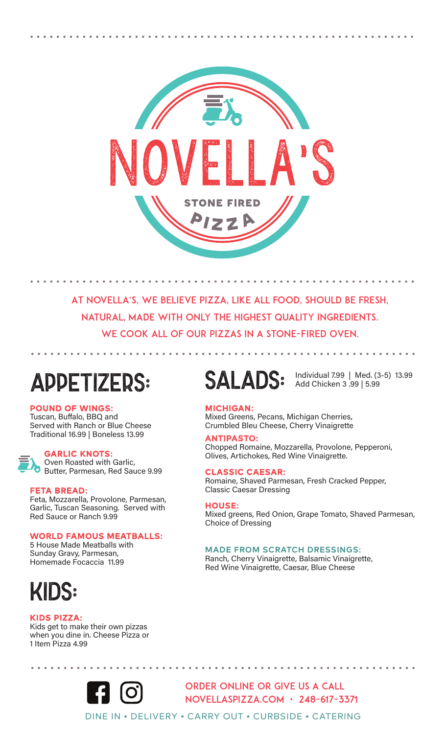

AT NOVELLA'S, WE BELIEVE PIZZA, LIKE ALL FOOD, SHOULD BE FRESH, natural, made with only the highest quality ingredients. WE COOK ALL OF OUR PIZZAS IN A STONE-FIRED OVEN.

## APPETIZERS:

POUND OF WINGS:

Tuscan, Buffalo, BBQ and Served with Ranch or Blue Cheese Traditional 16.99 | Boneless 13.99

#### GARLIC KNOTS:

Oven Roasted with Garlic, Butter, Parmesan, Red Sauce 9.99

#### FETA BREAD:

Feta, Mozzarella, Provolone, Parmesan, Garlic, Tuscan Seasoning. Served with Red Sauce or Ranch 9.99

#### WORLD FAMOUS MEATBALLS:

5 House Made Meatballs with Sunday Gravy, Parmesan, Homemade Focaccia 11.99

## KIDS:

#### KIDS PIZZA:

Kids get to make their own pizzas when you dine in. Cheese Pizza or 1 Item Pizza 4.99



Order Online or give us a call Novellaspizza.com • 248-617-3371

Individual 7.99 | Med. (3-5) 13.99 Add Chicken 3 .99 | 5.99

#### MICHIGAN:

Mixed Greens, Pecans, Michigan Cherries, Crumbled Bleu Cheese, Cherry Vinaigrette

ANTIPASTO: Chopped Romaine, Mozzarella, Provolone, Pepperoni, Olives, Artichokes, Red Wine Vinaigrette.

#### CLASSIC CAESAR:

SALADS:

Romaine, Shaved Parmesan, Fresh Cracked Pepper, Classic Caesar Dressing

#### HOUSE:

DINE IN • DELIVERY • CARRY OUT • CURBSIDE • CATERING

Mixed greens, Red Onion, Grape Tomato, Shaved Parmesan, Choice of Dressing

#### MADE FROM SCRATCH DRESSINGS:

Ranch, Cherry Vinaigrette, Balsamic Vinaigrette, Red Wine Vinaigrette, Caesar, Blue Cheese